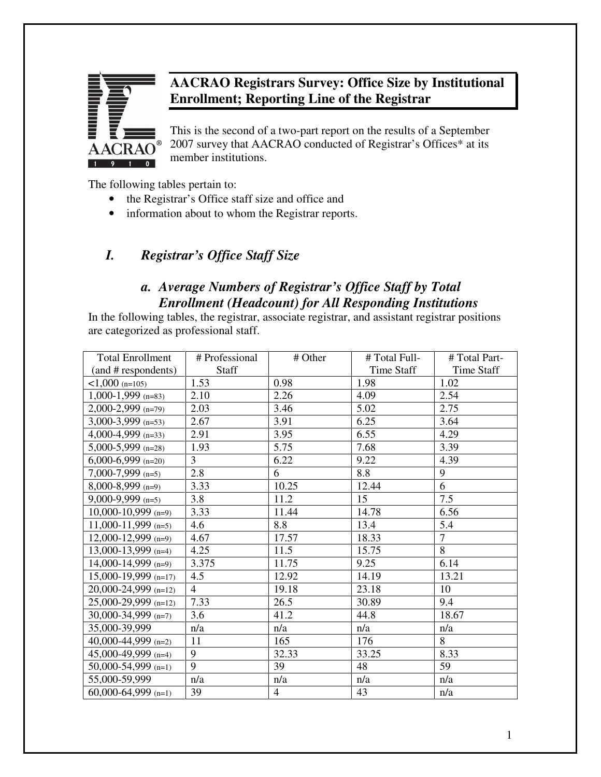

# **AACRAO Registrars Survey: Office Size by Institutional Enrollment; Reporting Line of the Registrar**

This is the second of a two-part report on the results of a September 2007 survey that AACRAO conducted of Registrar's Offices\* at its member institutions.

The following tables pertain to:

- the Registrar's Office staff size and office and
- information about to whom the Registrar reports.

# *I. Registrar's Office Staff Size*

# *a. Average Numbers of Registrar's Office Staff by Total Enrollment (Headcount) for All Responding Institutions*

In the following tables, the registrar, associate registrar, and assistant registrar positions are categorized as professional staff.

| <b>Total Enrollment</b> | # Professional | # Other        | # Total Full- | # Total Part-  |
|-------------------------|----------------|----------------|---------------|----------------|
| (and # respondents)     | Staff          |                | Time Staff    | Time Staff     |
| $<1,000$ (n=105)        | 1.53           | 0.98           | 1.98          | 1.02           |
| $1,000-1,999$ (n=83)    | 2.10           | 2.26           | 4.09          | 2.54           |
| $2,000-2,999$ (n=79)    | 2.03           | 3.46           | 5.02          | 2.75           |
| $3,000-3,999$ (n=53)    | 2.67           | 3.91           | 6.25          | 3.64           |
| 4,000-4,999 $(n=33)$    | 2.91           | 3.95           | 6.55          | 4.29           |
| $5,000-5,999$ (n=28)    | 1.93           | 5.75           | 7.68          | 3.39           |
| $6,000-6,999$ (n=20)    | 3              | 6.22           | 9.22          | 4.39           |
| $7,000-7,999$ (n=5)     | 2.8            | 6              | 8.8           | 9              |
| $8,000-8,999$ (n=9)     | 3.33           | 10.25          | 12.44         | 6              |
| $9,000-9,999$ (n=5)     | 3.8            | 11.2           | 15            | 7.5            |
| $10,000 - 10,999$ (n=9) | 3.33           | 11.44          | 14.78         | 6.56           |
| $11,000-11,999$ (n=5)   | 4.6            | 8.8            | 13.4          | 5.4            |
| $12,000 - 12,999$ (n=9) | 4.67           | 17.57          | 18.33         | $\overline{7}$ |
| 13,000-13,999 $(n=4)$   | 4.25           | 11.5           | 15.75         | 8              |
| 14,000-14,999 $(n=9)$   | 3.375          | 11.75          | 9.25          | 6.14           |
| $15,000-19,999$ (n=17)  | 4.5            | 12.92          | 14.19         | 13.21          |
| $20,000-24,999$ (n=12)  | $\overline{4}$ | 19.18          | 23.18         | 10             |
| 25,000-29,999 (n=12)    | 7.33           | 26.5           | 30.89         | 9.4            |
| 30,000-34,999 (n=7)     | 3.6            | 41.2           | 44.8          | 18.67          |
| 35,000-39,999           | n/a            | n/a            | n/a           | n/a            |
| 40,000-44,999 $(n=2)$   | 11             | 165            | 176           | 8              |
| 45,000-49,999 $(n=4)$   | 9              | 32.33          | 33.25         | 8.33           |
| 50,000-54,999 $(n=1)$   | 9              | 39             | 48            | 59             |
| 55,000-59,999           | n/a            | n/a            | n/a           | n/a            |
| 60,000-64,999 $(n=1)$   | 39             | $\overline{4}$ | 43            | n/a            |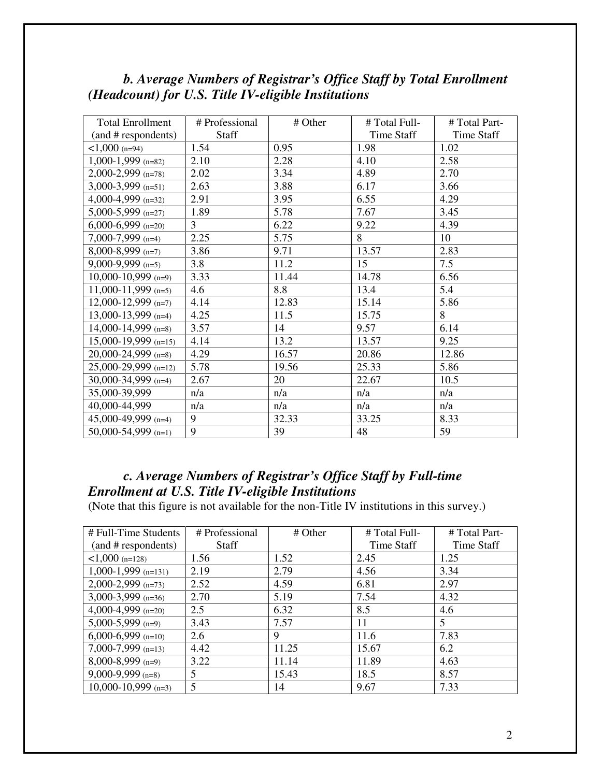| <b>Total Enrollment</b> | # Professional | # Other | # Total Full- | # Total Part- |
|-------------------------|----------------|---------|---------------|---------------|
| (and # respondents)     | Staff          |         | Time Staff    | Time Staff    |
| $<1,000$ (n=94)         | 1.54           | 0.95    | 1.98          | 1.02          |
| $1,000-1,999$ (n=82)    | 2.10           | 2.28    | 4.10          | 2.58          |
| 2,000-2,999 (n=78)      | 2.02           | 3.34    | 4.89          | 2.70          |
| 3,000-3,999 (n=51)      | 2.63           | 3.88    | 6.17          | 3.66          |
| 4,000-4,999 (n=32)      | 2.91           | 3.95    | 6.55          | 4.29          |
| $5,000-5,999$ (n=27)    | 1.89           | 5.78    | 7.67          | 3.45          |
| $6,000-6,999$ (n=20)    | $\overline{3}$ | 6.22    | 9.22          | 4.39          |
| $7,000-7,999$ (n=4)     | 2.25           | 5.75    | 8             | 10            |
| $8,000-8,999$ (n=7)     | 3.86           | 9.71    | 13.57         | 2.83          |
| $9,000-9,999$ (n=5)     | 3.8            | 11.2    | 15            | 7.5           |
| 10,000-10,999 $(n=9)$   | 3.33           | 11.44   | 14.78         | 6.56          |
| $11,000-11,999$ (n=5)   | 4.6            | 8.8     | 13.4          | 5.4           |
| $12,000-12,999$ (n=7)   | 4.14           | 12.83   | 15.14         | 5.86          |
| 13,000-13,999 $(n=4)$   | 4.25           | 11.5    | 15.75         | 8             |
| 14,000-14,999 $(n=8)$   | 3.57           | 14      | 9.57          | 6.14          |
| $15,000-19,999$ (n=15)  | 4.14           | 13.2    | 13.57         | 9.25          |
| $20,000-24,999$ (n=8)   | 4.29           | 16.57   | 20.86         | 12.86         |
| 25,000-29,999 (n=12)    | 5.78           | 19.56   | 25.33         | 5.86          |
| 30,000-34,999 $(n=4)$   | 2.67           | 20      | 22.67         | 10.5          |
| 35,000-39,999           | n/a            | n/a     | n/a           | n/a           |
| 40,000-44,999           | n/a            | n/a     | n/a           | n/a           |
| 45,000-49,999 $(n=4)$   | 9              | 32.33   | 33.25         | 8.33          |
| 50,000-54,999 $(n=1)$   | 9              | 39      | 48            | 59            |

# *b. Average Numbers of Registrar's Office Staff by Total Enrollment (Headcount) for U.S. Title IV-eligible Institutions*

## *c. Average Numbers of Registrar's Office Staff by Full-time Enrollment at U.S. Title IV-eligible Institutions*

(Note that this figure is not available for the non-Title IV institutions in this survey.)

| # Full-Time Students  | # Professional | # Other | # Total Full- | # Total Part- |
|-----------------------|----------------|---------|---------------|---------------|
| (and # respondents)   | <b>Staff</b>   |         | Time Staff    | Time Staff    |
| $1,000$ (n=128)       | 1.56           | 1.52    | 2.45          | 1.25          |
| $1,000-1,999$ (n=131) | 2.19           | 2.79    | 4.56          | 3.34          |
| $2,000-2,999$ (n=73)  | 2.52           | 4.59    | 6.81          | 2.97          |
| $3,000-3,999$ (n=36)  | 2.70           | 5.19    | 7.54          | 4.32          |
| 4,000-4,999 $(n=20)$  | 2.5            | 6.32    | 8.5           | 4.6           |
| $5,000-5,999$ (n=9)   | 3.43           | 7.57    | 11            | 5             |
| $6,000-6,999$ (n=10)  | 2.6            | 9       | 11.6          | 7.83          |
| $7,000-7,999$ (n=13)  | 4.42           | 11.25   | 15.67         | 6.2           |
| $8,000-8,999$ (n=9)   | 3.22           | 11.14   | 11.89         | 4.63          |
| $9,000-9,999$ (n=8)   | 5              | 15.43   | 18.5          | 8.57          |
| $10,000-10,999$ (n=3) | 5              | 14      | 9.67          | 7.33          |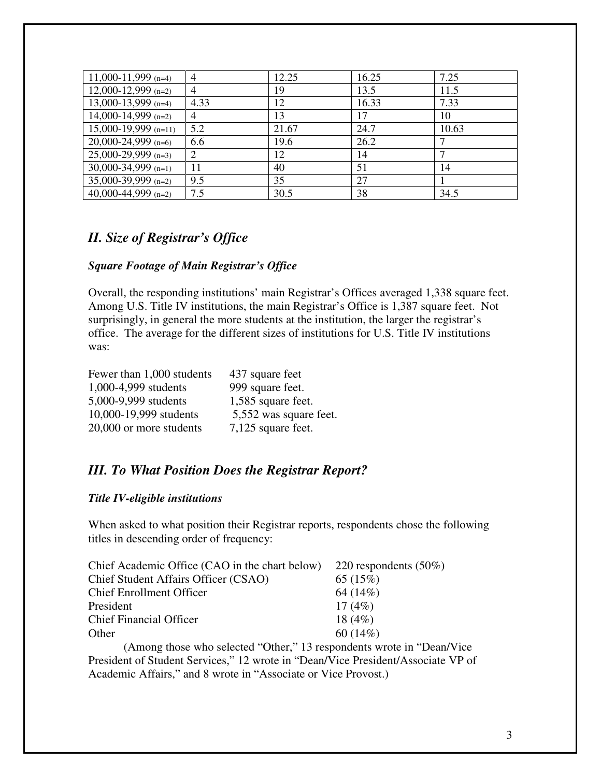| 11,000-11,999 (n=4)     | $\overline{4}$ | 12.25 | 16.25 | 7.25  |
|-------------------------|----------------|-------|-------|-------|
| $12,000 - 12,999$ (n=2) | 4              | 19    | 13.5  | 11.5  |
| 13,000-13,999 $(n=4)$   | 4.33           | 12    | 16.33 | 7.33  |
| 14,000-14,999 (n=2)     | $\overline{4}$ | 13    | 17    | 10    |
| $15,000-19,999$ (n=11)  | 5.2            | 21.67 | 24.7  | 10.63 |
| $20,000-24,999$ (n=6)   | 6.6            | 19.6  | 26.2  | ⇁     |
| $25,000-29,999$ (n=3)   | 2              | 12    | 14    | ⇁     |
| 30,000-34,999 $(n=1)$   | 11             | 40    | 51    | 14    |
| $35,000-39,999$ (n=2)   | 9.5            | 35    | 27    |       |
| 40,000-44,999 $(n=2)$   | 7.5            | 30.5  | 38    | 34.5  |

### *II. Size of Registrar's Office*

#### *Square Footage of Main Registrar's Office*

Overall, the responding institutions' main Registrar's Offices averaged 1,338 square feet. Among U.S. Title IV institutions, the main Registrar's Office is 1,387 square feet. Not surprisingly, in general the more students at the institution, the larger the registrar's office. The average for the different sizes of institutions for U.S. Title IV institutions was:

| Fewer than 1,000 students | 437 square feet        |
|---------------------------|------------------------|
| 1,000-4,999 students      | 999 square feet.       |
| 5,000-9,999 students      | 1,585 square feet.     |
| 10,000-19,999 students    | 5,552 was square feet. |
| 20,000 or more students   | 7,125 square feet.     |

## *III. To What Position Does the Registrar Report?*

#### *Title IV-eligible institutions*

When asked to what position their Registrar reports, respondents chose the following titles in descending order of frequency:

| Chief Academic Office (CAO in the chart below) $220$ respondents (50%) |           |
|------------------------------------------------------------------------|-----------|
| Chief Student Affairs Officer (CSAO)                                   | 65(15%)   |
| <b>Chief Enrollment Officer</b>                                        | 64 (14%)  |
| President                                                              | 17(4%)    |
| <b>Chief Financial Officer</b>                                         | 18 $(4%)$ |
| Other                                                                  | 60(14%)   |

 (Among those who selected "Other," 13 respondents wrote in "Dean/Vice President of Student Services," 12 wrote in "Dean/Vice President/Associate VP of Academic Affairs," and 8 wrote in "Associate or Vice Provost.)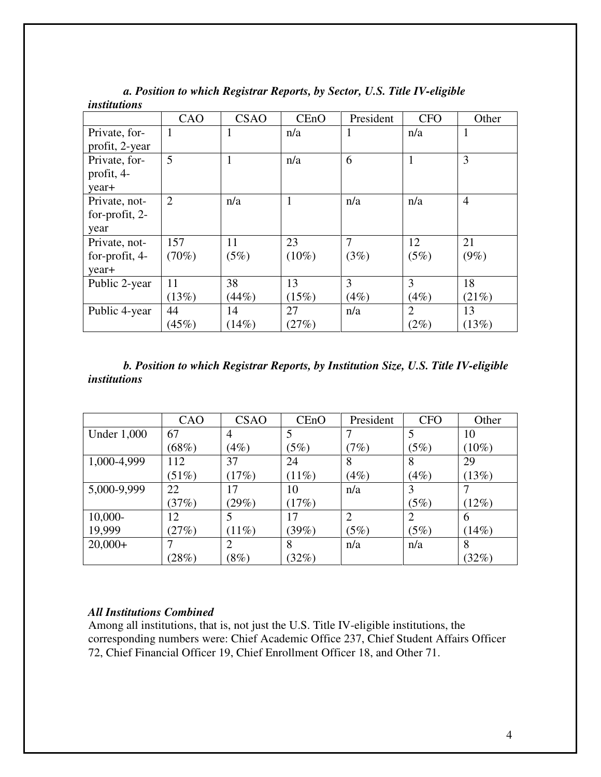|                | CAO            | <b>CSAO</b> | CEnO     | President | <b>CFO</b>     | Other          |
|----------------|----------------|-------------|----------|-----------|----------------|----------------|
| Private, for-  |                | 1           | n/a      | 1         | n/a            | 1              |
| profit, 2-year |                |             |          |           |                |                |
| Private, for-  | 5              | 1           | n/a      | 6         | $\mathbf{1}$   | 3              |
| profit, 4-     |                |             |          |           |                |                |
| year+          |                |             |          |           |                |                |
| Private, not-  | $\overline{2}$ | n/a         | 1        | n/a       | n/a            | $\overline{4}$ |
| for-profit, 2- |                |             |          |           |                |                |
| year           |                |             |          |           |                |                |
| Private, not-  | 157            | 11          | 23       | $\tau$    | 12             | 21             |
| for-profit, 4- | $(70\%)$       | (5%)        | $(10\%)$ | (3%)      | (5%)           | $(9\%)$        |
| year+          |                |             |          |           |                |                |
| Public 2-year  | 11             | 38          | 13       | 3         | 3              | 18             |
|                | (13%)          | (44%)       | (15%)    | (4%)      | (4%)           | (21%)          |
| Public 4-year  | 44             | 14          | 27       | n/a       | $\overline{2}$ | 13             |
|                | (45%)          | (14%)       | (27%)    |           | (2%)           | (13%)          |

*a. Position to which Registrar Reports, by Sector, U.S. Title IV-eligible institutions* 

#### *b. Position to which Registrar Reports, by Institution Size, U.S. Title IV-eligible institutions*

|                    | CAO      | <b>CSAO</b> | CEnO  | President      | <b>CFO</b>     | Other    |
|--------------------|----------|-------------|-------|----------------|----------------|----------|
| <b>Under 1,000</b> | 67       | 4           | 5     |                | 5              | 10       |
|                    | (68%)    | (4%)        | (5%)  | (7%)           | (5%)           | $(10\%)$ |
| 1,000-4,999        | 112      | 37          | 24    | 8              | 8              | 29       |
|                    | $(51\%)$ | (17%)       | (11%) | (4%)           | (4%)           | (13%)    |
| 5,000-9,999        | 22       | 17          | 10    | n/a            | 3              |          |
|                    | (37%)    | (29%)       | (17%) |                | (5%)           | (12%)    |
| $10,000-$          | 12       |             | 17    | $\overline{2}$ | $\overline{2}$ | 6        |
| 19,999             | (27%)    | $(11\%)$    | (39%) | (5%)           | (5%)           | (14%)    |
| $20,000+$          |          |             | 8     | n/a            | n/a            | 8        |
|                    | (28%)    | $(8\%)$     | (32%) |                |                | (32%)    |

#### *All Institutions Combined*

Among all institutions, that is, not just the U.S. Title IV-eligible institutions, the corresponding numbers were: Chief Academic Office 237, Chief Student Affairs Officer 72, Chief Financial Officer 19, Chief Enrollment Officer 18, and Other 71.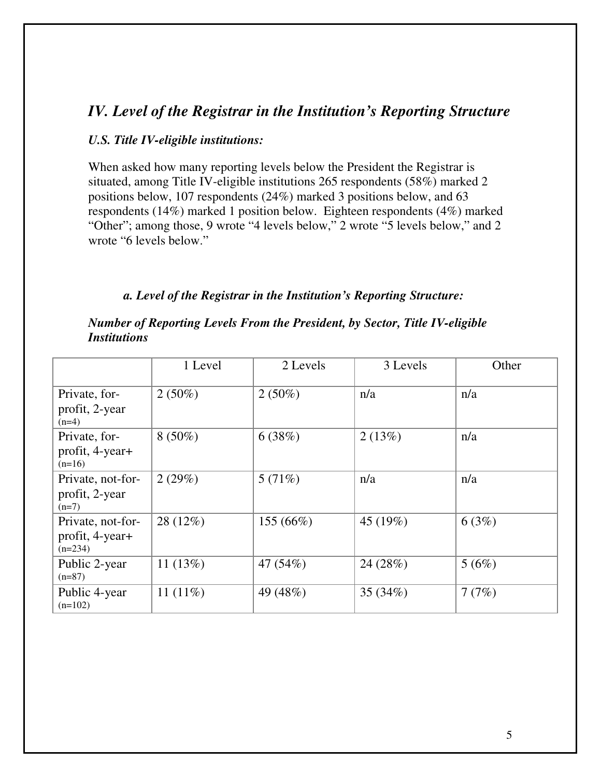# *IV. Level of the Registrar in the Institution's Reporting Structure*

#### *U.S. Title IV-eligible institutions:*

When asked how many reporting levels below the President the Registrar is situated, among Title IV-eligible institutions 265 respondents (58%) marked 2 positions below, 107 respondents (24%) marked 3 positions below, and 63 respondents (14%) marked 1 position below. Eighteen respondents (4%) marked "Other"; among those, 9 wrote "4 levels below," 2 wrote "5 levels below," and 2 wrote "6 levels below."

#### *a. Level of the Registrar in the Institution's Reporting Structure:*

|                                                   | 1 Level     | 2 Levels  | 3 Levels   | Other |
|---------------------------------------------------|-------------|-----------|------------|-------|
| Private, for-<br>profit, 2-year<br>$(n=4)$        | $2(50\%)$   | $2(50\%)$ | n/a        | n/a   |
| Private, for-<br>profit, 4-year+<br>$(n=16)$      | $8(50\%)$   | 6(38%)    | 2(13%)     | n/a   |
| Private, not-for-<br>profit, 2-year<br>$(n=7)$    | 2(29%)      | 5(71%)    | n/a        | n/a   |
| Private, not-for-<br>profit, 4-year+<br>$(n=234)$ | 28 (12%)    | 155 (66%) | 45 (19%)   | 6(3%) |
| Public 2-year<br>$(n=87)$                         | 11 $(13%)$  | 47 (54%)  | 24 (28%)   | 5(6%) |
| Public 4-year<br>$(n=102)$                        | 11 $(11\%)$ | 49 (48%)  | 35 $(34%)$ | 7(7%) |

#### *Number of Reporting Levels From the President, by Sector, Title IV-eligible Institutions*